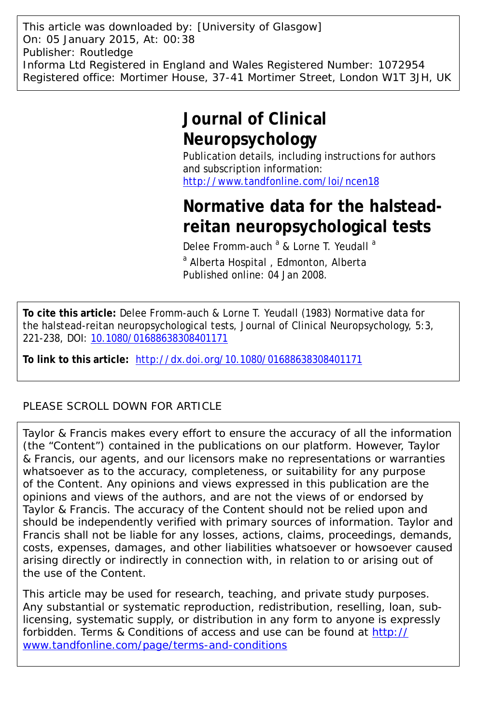This article was downloaded by: [University of Glasgow] On: 05 January 2015, At: 00:38 Publisher: Routledge Informa Ltd Registered in England and Wales Registered Number: 1072954 Registered office: Mortimer House, 37-41 Mortimer Street, London W1T 3JH, UK

# **Journal of Clinical Neuropsychology**

Publication details, including instructions for authors and subscription information: <http://www.tandfonline.com/loi/ncen18>

# **Normative data for the halsteadreitan neuropsychological tests**

Delee Fromm-auch <sup>a</sup> & Lorne T. Yeudall <sup>a</sup>

<sup>a</sup> Alberta Hospital, Edmonton, Alberta Published online: 04 Jan 2008.

**To cite this article:** Delee Fromm-auch & Lorne T. Yeudall (1983) Normative data for the halstead-reitan neuropsychological tests, Journal of Clinical Neuropsychology, 5:3, 221-238, DOI: [10.1080/01688638308401171](http://www.tandfonline.com/action/showCitFormats?doi=10.1080/01688638308401171)

**To link to this article:** <http://dx.doi.org/10.1080/01688638308401171>

# PLEASE SCROLL DOWN FOR ARTICLE

Taylor & Francis makes every effort to ensure the accuracy of all the information (the "Content") contained in the publications on our platform. However, Taylor & Francis, our agents, and our licensors make no representations or warranties whatsoever as to the accuracy, completeness, or suitability for any purpose of the Content. Any opinions and views expressed in this publication are the opinions and views of the authors, and are not the views of or endorsed by Taylor & Francis. The accuracy of the Content should not be relied upon and should be independently verified with primary sources of information. Taylor and Francis shall not be liable for any losses, actions, claims, proceedings, demands, costs, expenses, damages, and other liabilities whatsoever or howsoever caused arising directly or indirectly in connection with, in relation to or arising out of the use of the Content.

This article may be used for research, teaching, and private study purposes. Any substantial or systematic reproduction, redistribution, reselling, loan, sublicensing, systematic supply, or distribution in any form to anyone is expressly forbidden. Terms & Conditions of access and use can be found at [http://](http://www.tandfonline.com/page/terms-and-conditions) [www.tandfonline.com/page/terms-and-conditions](http://www.tandfonline.com/page/terms-and-conditions)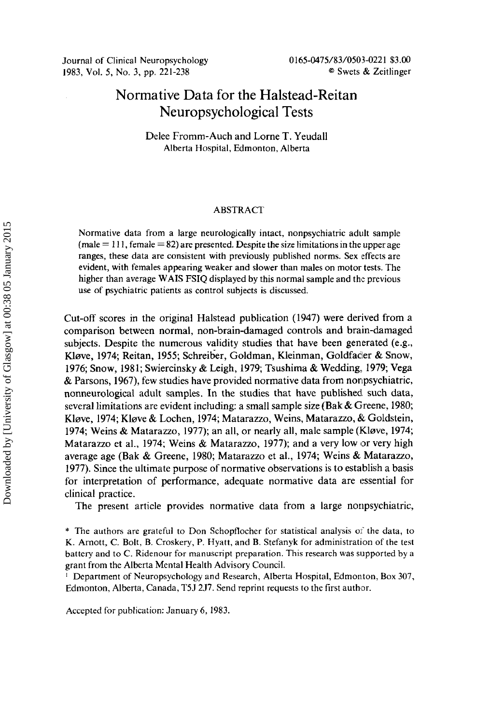# Normative Data for the Halstead-Reitan Neuropsychological Tests

Delee Fromm-Auch and Lorne T. Yeudall Alberta Hospital, Edmonton, Alberta

# ABSTRACT

Normative data from a large neurologically intact, nonpsychiatric adult sample  $(male = 111, female = 82)$  are presented. Despite the size limitations in the upper age ranges, these data are consistent with previously published norms. Sex effects are evident, with females appearing weaker and slower than males on motor tests. The higher than average WAIS FSIQ displayed by this normal sample and the previous use of psychiatric patients as control subjects is discussed.

Cut-off scores in the original Halstead publication (1947) were derived from a comparison between normal, non-brain-damaged controls and brain-damaged subjects. Despite the numerous validity studies that have been generated (e.g., Kløve, 1974; Reitan, 1955; Schreiber, Goldman, Kleinman, Goldfacler & Snow, 1976; Snow, 1981; Swiercinsky & Leigh, 1979; Tsushima & Wedding. 1979; Vega & Parsons, 1967), few studies have provided normative data from nonpsychiatric, nonneurological adult samples. In the studies that have published such data, several limitations are evident including: **a** small sample size (Bak & Greene, 1980; Klsve, 1974; Klave & Lochen, 1974; Matarazzo, Weins, Matarazzo, *dk* Goldstein, 1974; Weins & Matarazzo, 1977); an all, or nearly all, male sample (Kløve, 1974; Matarazzo et al., 1974; Weins & Matarazzo, 1977); and a very low or very high average age (Bak & Greene, 1980; Matarazzo et al., 1974; Weins & Matarazzo, 1977). Since the ultimate purpose of normative observations is to establish a basis for interpretation of performance, adequate normative data are essential for clinical practice.

The present article provides normative data from a large nonpsychiatric,

\* The authors are grateful to Don Schopflocher for statistical analysis of the data, to K. Arnott, C. Bolt, B. Croskery, P. Hydtt, and B. Stefanyk for administration of the test battery and to C. Ridenour for manuscript preparation. This research was supported by **a**  grant from the Alberta Mental Health Advisory Council.

' Department of Neuropsychology and Research, Alberta Hospital, Edmonton, Box 307, Edmonton, Alberta, Canada, T5J **257.** Send reprint requests to the first author.

Accepted for publication: January 6, **1983.**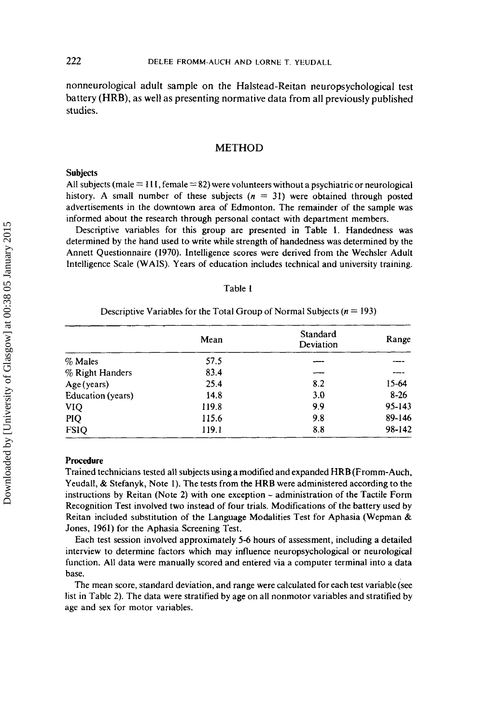nonneurological adult sample on the Halstead-Reitan neuropsychological test battery (HRB), as well as presenting normative data from all previously published studies.

# METHOD

### **Subjects**

All subjects (male = 1 I I, female = **82)** were volunteers without a psychiatric or neurological history. A small number of these subjects  $(n = 31)$  were obtained through posted advertisements in the downtown area of Edmonton. The remainder of the sample was informed about the research through personal contact with department members.

Descriptive variables for this group are presented in Table **1.** Handedness was determined by the hand used to write while strength of handedness was determined by the Annett Questionnaire **(1970).** Intelligence scores were derived from the Wechsler Adult Intelligence Scale (WAIS). Years of education includes technical and university training.

# Table **<sup>1</sup>**

# Descriptive Variables for the Total Group of Normal Subjects  $(n = 193)$

|                   | Mean  | Standard<br>Deviation | Range      |
|-------------------|-------|-----------------------|------------|
| $\%$ Males        | 57.5  |                       |            |
| $%$ Right Handers | 83.4  |                       | ----       |
| Age (years)       | 25.4  | 8.2                   | 15-64      |
| Education (years) | 14.8  | 3.0                   | $8-26$     |
| <b>VIQ</b>        | 119.8 | 9.9                   | $95 - 143$ |
| PIQ               | 115.6 | 9.8                   | 89-146     |
| <b>FSIO</b>       | 119.1 | 8.8                   | 98-142     |

#### Procedure

Trained technicians tested all subjects using a modified and expanded HRB (Fromm-Auch, Yeudall, & Stefanyk, Note **1).** The tests from the HRB were administered according to the instructions by Reitan (Note 2) with one exception - administration of the Tactile Form Recognition Test involved two instead of four trials. Modifications of the battery used by Reitan included substitution of the Language Modalities Test for Aphasia (Wepman & Jones, **1961)** for the Aphasia Screening Test.

Each test session involved approximately **5-6** hours of assessment, including a detailed interview to determine factors which may influence neuropsychological or neurological function. All data were manually scored and entered via a computer terminal into a data base.

The mean score, standard deviation, and range were calculated for each test variable (see list in Table 2). The data were stratified by age on all nonmotor variables and stratified by age and sex for motor variables.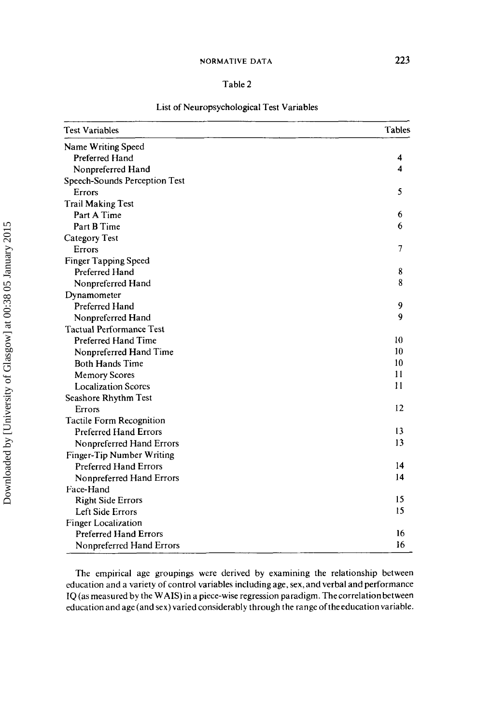# Table 2

| <b>Test Variables</b>           | Tables         |
|---------------------------------|----------------|
| Name Writing Speed              |                |
| Preferred Hand                  | 4              |
| Nonpreferred Hand               | 4              |
| Speech-Sounds Perception Test   |                |
| Errors                          | 5              |
| <b>Trail Making Test</b>        |                |
| Part A Time                     | 6              |
| Part B Time                     | 6              |
| Category Test                   |                |
| Errors                          | $\overline{7}$ |
| Finger Tapping Speed            |                |
| Preferred Hand                  | 8              |
| Nonpreferred Hand               | 8              |
| Dynamometer                     |                |
| <b>Preferred Hand</b>           | 9              |
| Nonpreferred Hand               | 9              |
| <b>Tactual Performance Test</b> |                |
| Preferred Hand Time             | 10             |
| Nonpreferred Hand Time          | 10             |
| <b>Both Hands Time</b>          | 10             |
| <b>Memory Scores</b>            | 11             |
| <b>Localization Scores</b>      | 11             |
| Seashore Rhythm Test            |                |
| Errors                          | 12             |
| <b>Tactile Form Recognition</b> |                |
| <b>Preferred Hand Errors</b>    | 13             |
| Nonpreferred Hand Errors        | 13             |
| Finger-Tip Number Writing       |                |
| <b>Preferred Hand Errors</b>    | 14             |
| Nonpreferred Hand Errors        | 14             |
| Face-Hand                       |                |
| <b>Right Side Errors</b>        | 15             |
| Left Side Errors                | 15             |
| <b>Finger Localization</b>      |                |
| <b>Preferred Hand Errors</b>    | 16             |
| Nonpreferred Hand Errors        | 16             |

# List of Neuropsychological Test Variables

The empirical age groupings were derived by examining the relationship between education and a variety of control variables including age, sex, and verbal and performance IQ (as measured by the WAIS) in a piece-wise regression paradigm. Thecorrelation between education and age (and sex) varied considerably through the range of the education variable.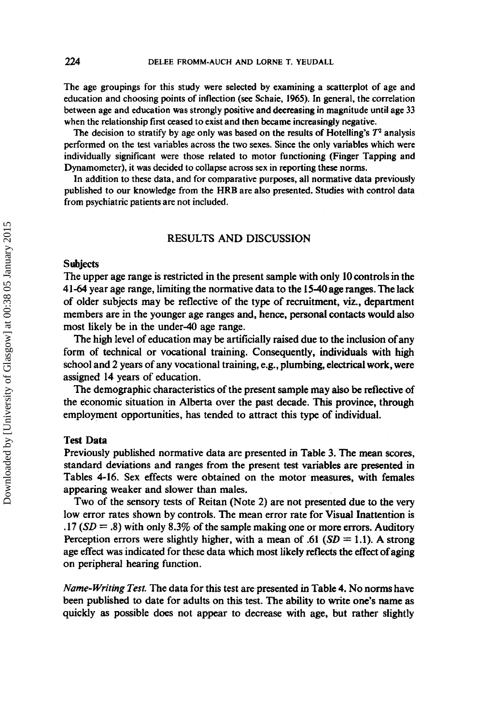The age groupings for this study were selected by examining a scatterplot of age and education and choosing points of inflection *(see* Schaie, **1965).** In general, the correlation between age and education **was** strongly positive and deereasing In magnitude until age 33 when the relationship first ceased **to** exist and then **became** increasingly negative.

The decision to stratify by age only was based on the results of Hotelling's  $T<sup>2</sup>$  analysis performed on the test variables across the two sexes. Since the only variables which were individually significant were those related to motor functioning (Finger Tapping and Dynamometer), it was decided to collapse across sex in reporting these norms.

In addition to these data, and for comparative purposes, all normative data previously published to our knowledge from the HRB are also presented. Studies with control data from psychiatric patients are not included.

# RESULTS AND DISCUSSION

# **Subjects**

The upper age range is restricted in the present sample with only **10** controls in the 41-64 year age range, limiting the normative data to the **154age** ranges. Thelack of older subjects may be reflective of the type of recruitment, **viz.,** department members are in the younger age ranges and, hence, personal contacts would also most likely be in the under-40 age range.

The high level of education may be artificially raised due to the inclusion of any form of technical or vocational training. Consequently, individuals with high school and 2 years of any vocational training, e.g., plumbing, electrical work, were assigned **14** years of education.

The demographic characteristics of the present sample may **also** be reflective of the economic situation in Alberta over the past decade. This province, through employment opportunities, has tended to attract this type of individual.

# Test Data

Previously published normative data are presented in Table 3. The mean scores, standard deviations and ranges from the present test variables are presented in Tables **4-16.** Sex effects were obtained on the motor measures, with females appearing weaker and slower than males.

Two of the sensory tests of Reitan (Note 2) are not presented due *to* the very low error rates shown by controls. The mean error rate for Visual Inattention is **.17** *(SD* = .8) with only 8.3% of the sample making one or more errors. Auditory Perception errors were slightly higher, with a mean of **.61**  $(SD = 1.1)$ . A strong age effect was indicated for these data which most likely reflects the effect of aging on peripheral hearing function.

Name-Writing Test. The data for this test are presented in Table **4.** No norms have been published to date for adults on this test. **The** ability to write **one's** name **as**  quickly **as** possible does not appear to decrease with age, but rather slightly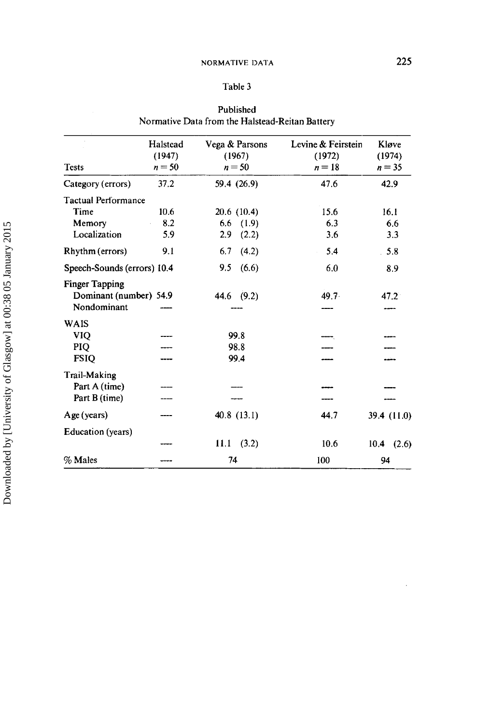| <b>Tests</b>                                                   | Halstead<br>(1947)<br>$n = 50$ | Vega & Parsons<br>(1967)<br>$n = 50$ | Levine & Feirstein<br>(1972)<br>$n=18$ | Kløve<br>(1974)<br>$n = 35$ |
|----------------------------------------------------------------|--------------------------------|--------------------------------------|----------------------------------------|-----------------------------|
| Category (errors)                                              | 37.2                           | 59.4 (26.9)                          | 47.6                                   | 42.9                        |
| <b>Tactual Performance</b>                                     |                                |                                      |                                        |                             |
| Time                                                           | 10.6                           | 20.6 (10.4)                          | 15.6                                   | 16.1                        |
| Memory                                                         | 8.2                            | 6.6<br>(1.9)                         | 6.3                                    | 6.6                         |
| Localization                                                   | 5.9                            | 2.9<br>(2.2)                         | 3.6                                    | 3.3                         |
| Rhythm (errors)                                                | 9.1                            | 6.7<br>(4.2)                         | 5.4                                    | 5.8                         |
| Speech-Sounds (errors) 10.4                                    |                                | (6.6)<br>9.5                         | 6.0                                    | 8.9                         |
| <b>Finger Tapping</b><br>Dominant (number) 54.9<br>Nondominant |                                | 44.6 (9.2)                           | 49.7 <sup>2</sup>                      | 47.2                        |
| <b>WAIS</b>                                                    |                                |                                      |                                        |                             |
| <b>VIO</b>                                                     |                                | 99.8                                 |                                        |                             |
| PIQ                                                            |                                | 98.8                                 |                                        |                             |
| <b>FSIQ</b>                                                    |                                | 99.4                                 |                                        |                             |
| <b>Trail-Making</b>                                            |                                |                                      |                                        |                             |
| Part A (time)                                                  |                                |                                      |                                        |                             |
| Part B (time)                                                  |                                |                                      |                                        |                             |
| Age (years)                                                    |                                | 40.8(13.1)                           | 44.7                                   | 39.4 (11.0)                 |
| Education (years)                                              |                                |                                      |                                        |                             |
|                                                                |                                | (3.2)<br>11.1                        | 10.6                                   | $10.4$ $(2.6)$              |
| % Males                                                        |                                | 74                                   | 100                                    | 94                          |

# **Published Normative Data from the Halstead-Reitan Battery**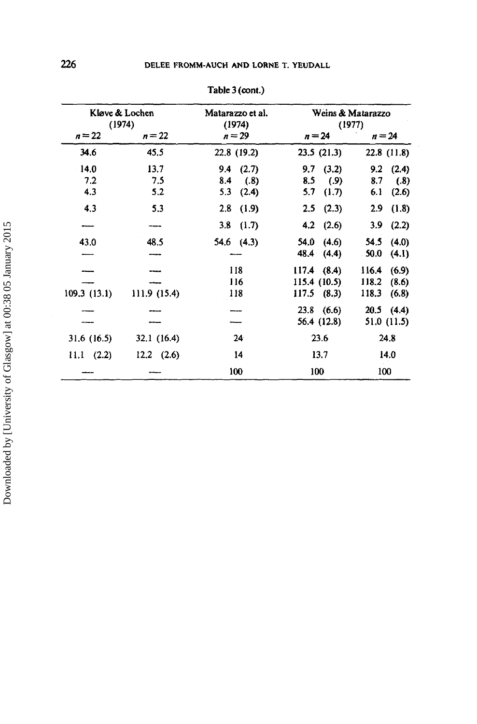| Kløve & Lochen<br>(1974) |                    | Matarazzo et al.<br>(1974) | Weins & Matarazzo<br>(1977) |                |  |  |
|--------------------------|--------------------|----------------------------|-----------------------------|----------------|--|--|
| $n = 22$                 | $n=22$<br>$n = 29$ |                            | $n = 24$                    | $n = 24$       |  |  |
| 34.6                     | 45.5               | 22.8 (19.2)                | 23.5(21.3)                  | 22.8 (11.8)    |  |  |
| 14.0                     | 13.7               | $9.4$ $(2.7)$              | $9.7$ $(3.2)$               | 9.2<br>(2.4)   |  |  |
| 7.2                      | 7.5                | (.8)<br>8.4                | 8.5<br>(.9)                 | 8.7<br>(.8)    |  |  |
| 4.3                      | 5.2                | 5.3<br>(2.4)               | 5.7<br>(1.7)                | 6.1<br>(2.6)   |  |  |
| 4.3                      | 5.3                | $2.8$ (1.9)                | $2.5$ $(2.3)$               | 2.9<br>(1.8)   |  |  |
|                          |                    | 3.8<br>(1.7)               | 4.2 $(2.6)$                 | 3.9<br>(2.2)   |  |  |
| 43.0                     | 48.5               | $54.6$ $(4.3)$             | (4.6)<br>54.0               | 54.5<br>(4.0)  |  |  |
|                          |                    |                            | 48.4<br>(4.4)               | 50.0<br>(4.1)  |  |  |
|                          |                    | 118                        | $117.4$ (8.4)               | 116.4<br>(6.9) |  |  |
|                          |                    | 116                        | 115.4(10.5)                 | 118.2<br>(8.6) |  |  |
| 109.3(13.1)              | 111.9 (15.4)       | 118                        | $117.5$ (8.3)               | 118.3<br>(6.8) |  |  |
|                          |                    |                            | $23.8$ (6.6)                | $20.5$ (4.4)   |  |  |
|                          |                    |                            | 56.4 (12.8)                 | 51.0 (11.5)    |  |  |
| 31.6 (16.5)              | 32.1 (16.4)        | 24                         | 23.6                        | 24.8           |  |  |
| $11.1 \t(2.2)$           | $12.2 \quad (2.6)$ | 14                         | 13.7                        | 14.0           |  |  |
|                          |                    | 100                        | 100                         | 100            |  |  |

**Table** 3 **(ant.)**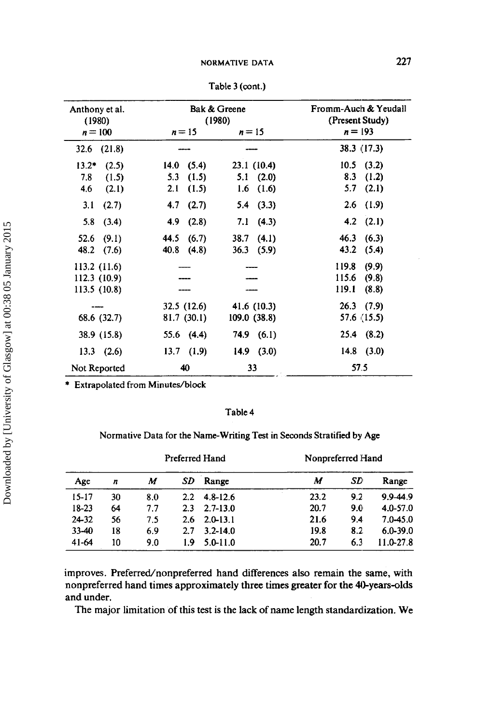| Anthony et al.<br>(1980) |                    | Bak & Greene<br>(1980) | Fromm-Auch & Yeudall<br>(Present Study) |
|--------------------------|--------------------|------------------------|-----------------------------------------|
| $n = 100$                | $n = 15$<br>$n=15$ |                        | $n = 193$                               |
| (21.8)<br>32.6           |                    |                        | 38.3 (17.3)                             |
| $13.2*$<br>(2.5)         | 14.0<br>(5.4)      | 23.1 (10.4)            | 10.5<br>(3.2)                           |
| 7.8<br>(1.5)             | 5.3<br>(1.5)       | 5.1<br>(2.0)           | 8.3<br>(1.2)                            |
| 4.6<br>(2.1)             | (1.5)<br>2.1       | (1.6)<br>1.6           | 5.7<br>(2.1)                            |
| 3.1<br>(2.7)             | 4.7<br>(2.7)       | (3.3)<br>5.4           | (1.9)<br>2.6                            |
| 5.8<br>(3.4)             | 4,9<br>(2.8)       | (4.3)<br>7.1           | (2.1)<br>4.2                            |
| 52.6<br>(9.1)            | 44.5<br>(6.7)      | 38.7<br>(4.1)          | 46.3<br>(6.3)                           |
| 48.2<br>(7.6)            | 40.8<br>(4.8)      | (5.9)<br>36.3          | 43.2<br>(5.4)                           |
| 113.2 (11.6)             |                    |                        | 119.8<br>(9.9)                          |
| 112.3 (10.9)             |                    |                        | 115.6<br>(9.8)                          |
| 113.5 (10.8)             |                    |                        | 119.1<br>(8.8)                          |
|                          | 32.5 (12.6)        | 41.6 (10.3)            | $26.3$ (7.9)                            |
| 68.6 (32.7)              | 81.7 (30.1)        | 109.0 (38.8)           | 57.6 (15.5)                             |
| 38.9 (15.8)              | (4.4)<br>55.6      | 74.9(6.1)              | (8.2)<br>25.4                           |
| $13.3$ $(2.6)$           | $13.7$ $(1.9)$     | $14.9$ (3.0)           | $14.8$ (3.0)                            |
| Not Reported             | 40                 | 33                     | 57.5                                    |

Table 3 (cont.)

\* Extrapolated from Minutes/block

# Table 4

# Normative Data for the Name-Writing Test in Seconds Stratified by Age

| Age<br>$\boldsymbol{n}$ | Preferred Hand |     |               | Nonpreferred Hand |      |       |               |
|-------------------------|----------------|-----|---------------|-------------------|------|-------|---------------|
|                         | M              | SD  | Range         | М                 | SD   | Range |               |
| $15 - 17$               | 30             | 8.0 | $2.2^{\circ}$ | $4.8 - 12.6$      | 23.2 | 9.2   | 9.9-44.9      |
| $18 - 23$               | 64             | 7.7 | 2.3           | $2.7 - 13.0$      | 20.7 | 9.0   | $4.0 - 57.0$  |
| 24-32                   | 56             | 7.5 | 2.6           | $2.0 - 13.1$      | 21.6 | 9.4   | $7.0 - 45.0$  |
| $33 - 40$               | 18             | 6.9 | 2.7           | $3.2 - 14.0$      | 19.8 | 8.2   | $6.0 - 39.0$  |
| 41-64                   | 10             | 9.0 | 1.9           | $5.0 - 11.0$      | 20.7 | 6.3   | $11.0 - 27.8$ |

improves. Preferred/nonpreferred hand differences also remain the same, with nonpreferred hand times approximately three times greater for the 40-years-olds and under.

The major limitation of this test is the lack of name length standardization. We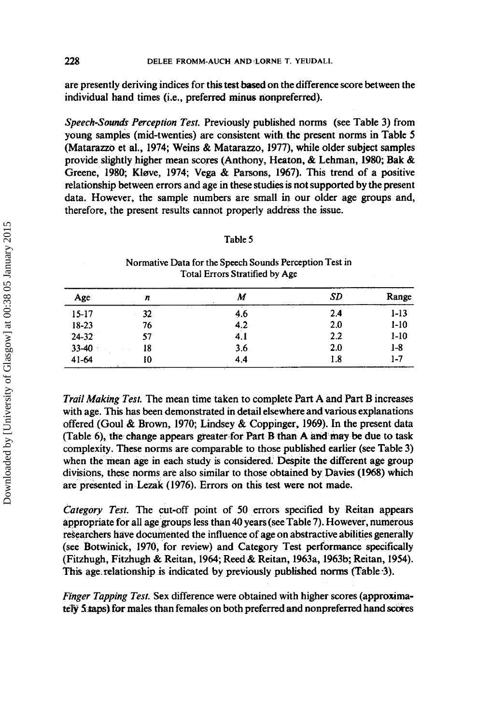are presently deriving indices for this test **based** on the difference score between the individual hand times (i.e., preferred minus nonpreferred).

*Speech-Sounds Perception Test.* Previously published norms (see Table 3) from young samples (mid-twenties) are consistent with the present norms in Table *<sup>5</sup>* (Matarazzo et al., 1974; Weins & Matarazzo, 1977), while older subject samples provide slightly higher mean scores (Anthony, Heaton, & Lehman, **1980;** Bak & Greene, 1980; Kleve, 1974; Vega & Parsons, 1967). This trend of a positive relationship between errors and age in these studies is not supported by the present data. However, the sample numbers are small in our older age groups and, therefore, the present results cannot properly address the issue.

| Age       | n  | M   | SD  | <b>All Street</b><br>Range |
|-----------|----|-----|-----|----------------------------|
| $15 - 17$ | 32 | 4.6 | 2.4 | $1 - 13$                   |
| $18-23$   | 76 | 4.2 | 2.0 | $1-10$                     |
| $24 - 32$ | 57 | 4.1 | 2.2 | $1 - 10$                   |
| $33-40$   | 18 | 3.6 | 2.0 | $1 - 8$                    |
| $41-64$   | 10 | 4.4 | 1.8 | $1 - 7$                    |

# **Table 5 Normative Data for the Speech Sounds Perception Test in**

**Total Errors Stratified by Age** 

*Trail Making Test.* The mean time taken to complete Part A and Part B increases with age. **This** has been demonstrated in detail elsewhere and various explanations offered (Goul & Brown, 1970; Lindsey & Coppinger, 1969). In the present data (Table **6),** the change appears greater for Part B than **A** and **rhay be** due to **task**  complexity. These norms are comparable to those published earlier (see Table 3) when the mean age in each study is considered. Despite the different age group divisions, these norms are also similar to those obtained by pavies **(1968)** which are presented in Lezak (1976). **Errors** on this test were not made.

*Category Test.* The cut-off point **of 50** errors specified by Reitan appears appropriate for all age groups less than **40** years (see Table 7). However, numerous researchers have documented the influence of age on abstractive abilities generally (see Botwinick, 1970, for review) and Category Test performance specifically (Fitzhugh, Fitzhugh & Reitan, 1964; Reed & Reitan, 1963a, 1963b; Reitan, 1954). This age. relationship is indicated by previously published norms (Table -3).

*Finger Tapping Test.* Sex difference were obtained with higher scores (approximately 5 *staps*) for males than females on both preferred and nonpreferred hand scores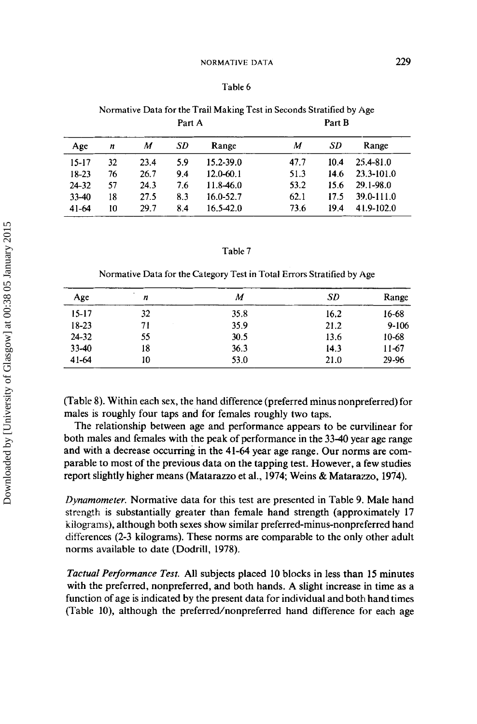# **Table 6**

|           | Part A |      |     |               | Part B |      |               |  |
|-----------|--------|------|-----|---------------|--------|------|---------------|--|
| Age       | n      | M    | SD  | Range         | M      | SD   | Range         |  |
| $15 - 17$ | 32     | 23.4 | 5.9 | 15.2-39.0     | 47.7   | 10.4 | $25.4 - 81.0$ |  |
| 18-23     | 76     | 26.7 | 9.4 | $12.0 - 60.1$ | 51.3   | 14.6 | 23.3-101.0    |  |
| $24 - 32$ | 57     | 24.3 | 7.6 | 11.8-46.0     | 53.2   | 15.6 | 29.1-98.0     |  |
| $33-40$   | 18     | 27.5 | 8.3 | 16.0-52.7     | 62.1   | 17.5 | 39.0-111.0    |  |
| 41-64     | 10     | 29.7 | 8.4 | $16.5 - 42.0$ | 73.6   | 19.4 | 41.9-102.0    |  |

# **Normative Data** for **the Trail Making Test in Seconds Stratified** by **Age**

# **Table 7**

**Normative Data** for **the Category Test in Total Errors Stratified** by **Age** 

| Age       | n  | M    | SD   | Range     |
|-----------|----|------|------|-----------|
| $15 - 17$ | 32 | 35.8 | 16.2 | 16-68     |
| $18 - 23$ | 71 | 35.9 | 21.2 | $9 - 106$ |
| $24 - 32$ | 55 | 30.5 | 13.6 | $10 - 68$ |
| $33-40$   | 18 | 36.3 | 14.3 | $11-67$   |
| $41 - 64$ | 10 | 53.0 | 21.0 | 29-96     |

(Table 8). Within each **sex,** the hand difference (preferred minus nonpteferred) for males is roughly four taps and for females roughly two taps.

The relationship between age and performance appears to be curvilinear for both males and females with the peak of performance in the **3340** year age range and with a decrease occurring in the 41-64 year age range. Our norms are comparable to most of the previous data on the tapping test. However, a few studies report slightly higher means (Matarazzo et al., 1974; Weins & Matarazzo, 1974).

*Dynamometer.* Normative data for this test are presented in Table 9. Male hand strength is substantially greater than female hand strength (approximately 17 kilograms), although both sexes show similar **preferred-minus-nonpreferred** hand differences (2-3 kilograms). These norms are comparable to the only other adult norms available to date (Dodrill, 1978).

*Tactual Performance Test.* All subjects placed 10 blocks in less than **15** minutes with the preferred, nonpreferred, and both hands. A slight increase in time as a function of age is indicated by the present data for individual and both hand times (Table lo), although the preferred/nonpreferred hand difference **for** each age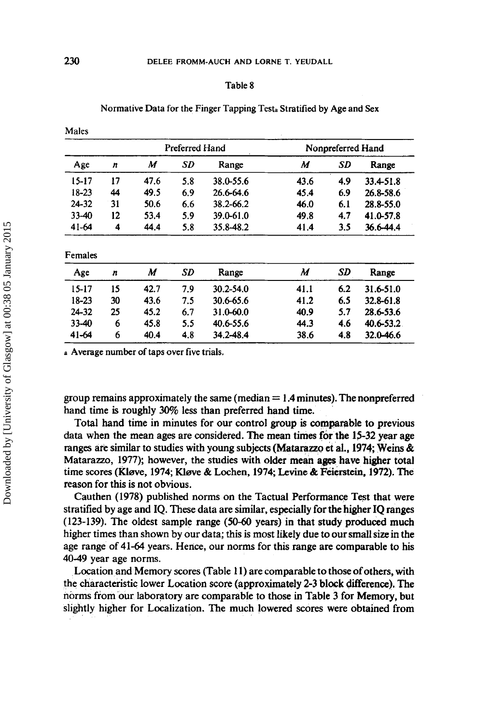|         |    |      |                | Normative Data for the Finger Tapping Testa Stratified by Age and Sex |      |                   |           |
|---------|----|------|----------------|-----------------------------------------------------------------------|------|-------------------|-----------|
| Males   |    |      |                |                                                                       |      |                   |           |
|         |    |      | Preferred Hand |                                                                       |      | Nonpreferred Hand |           |
| Age     | n  | M    | SD             | Range                                                                 | M    | SD                | Range     |
| 15-17   | 17 | 47.6 | 5.8            | 38.0-55.6                                                             | 43.6 | 4.9               | 33.4-51.8 |
| 18-23   | 44 | 49.5 | 6.9            | 26.6-64.6                                                             | 45.4 | 6.9               | 26.8-58.6 |
| 24-32   | 31 | 50.6 | 6.6            | 38.2-66.2                                                             | 46.0 | 6.1               | 28.8-55.0 |
| 33-40   | 12 | 53.4 | 5.9            | 39.0-61.0                                                             | 49.8 | 4.7               | 41.0-57.8 |
| 41-64   | 4  | 44.4 | 5.8            | 35.8-48.2                                                             | 41.4 | 3.5               | 36.6-44.4 |
| Females |    |      |                |                                                                       |      |                   |           |
| Age     | n  | M    | SD             | Range                                                                 | M    | SD                | Range     |
| 15-17   | 15 | 42.7 | 7.9            | $30.2 - 54.0$                                                         | 41.1 | 6.2               | 31.6-51.0 |
| 18-23   | 30 | 43.6 | 7.5            | 30.6-65.6                                                             | 41.2 | 6.5               | 32.8-61.8 |
| 24-32   | 25 | 45.2 | 6.7            | 31.0-60.0                                                             | 40.9 | 5.7               | 28.6-53.6 |
| 33-40   | 6  | 45.8 | 5.5            | 40.6-55.6                                                             | 44.3 | 4.6               | 40.6-53.2 |
| 41-64   | 6  | 40.4 | 4.8            | 34.2-48.4                                                             | 38.6 | 4.8               | 32.0-46.6 |

**<sup>a</sup>**Average number of taps over five trials.

group remains approximately the same (median = **1.4** minutes). The nonpreferred hand time is roughly 30% less than preferred hand time.

Total hand time in minutes for our control group is comparable to previous data when the mean ages are considered. The mean times for the 15-32 year age ranges are similar to studies with young subjects (Matarazzo et **al.,** 1974; **Weins** & Matarazzo, 1977); however, the studies with older mean ages have higher total time scores (Kløve, 1974; Kløve & Lochen, 1974; Levine & Feierstein, 1972). The reason for this is not obvious.

Cauthen (1978) published norms on the Tactual Performance Test that were stratified **by** age and IQ. These data are similar, especially for the higher IQ ranges (123-139). The oldest sample range *(50-60* years) in that study produced much higher times than shown by our data; this is most likely due to our small size in the age range of 41-64 years. Hence, **our** norms for this range are comparable to his 40-49 year age norms.

Location and Memory scores (Table 11) are comparable to those of others, with the characteristic lower Location score (approximately 2-3 block difference). The norms from our laboratory are comparable to those in Table 3 for Memory, but slightly higher for Localization. The much lowered scores were obtained from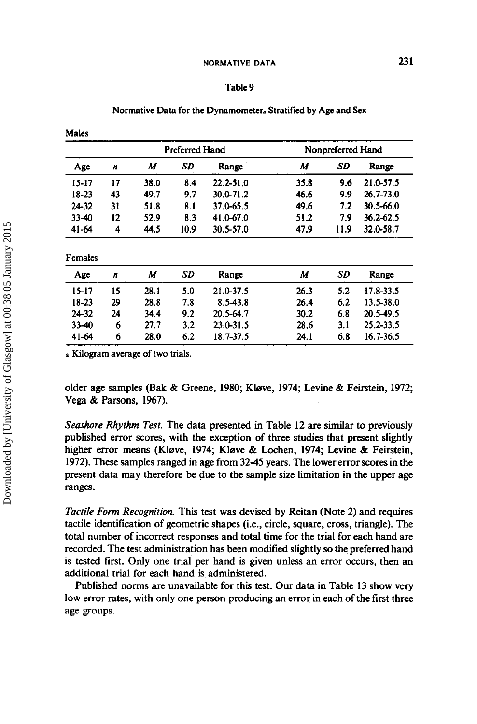# Table 9

# Normative Data for the Dynamometera Stratified by Age and **Sex**

Males

|           |    | Preferred Hand |             |               | Nonpreferred Hand |       |               |
|-----------|----|----------------|-------------|---------------|-------------------|-------|---------------|
| Age<br>n  | M  |                | SD<br>Range | M             | SD                | Range |               |
| $15 - 17$ | 17 | 38.0           | 8.4         | $22.2 - 51.0$ | 35.8              | 9.6   | 21.0-57.5     |
| 18-23     | 43 | 49.7           | 9.7         | 30.0-71.2     | 46.6              | 9.9   | $26.7 - 73.0$ |
| 24-32     | 31 | 51.8           | 8.1         | 37.0-65.5     | 49.6              | 7.2   | $30.5 - 66.0$ |
| $33 - 40$ | 12 | 52.9           | 8.3         | 41.0-67.0     | 51.2              | 7.9   | $36.2 - 62.5$ |
| $41 - 64$ | 4  | 44.5           | 10.9        | 30.5-57.0     | 47.9              | 11.9  | 32.0-58.7     |

| Age       | n  | M    | SD  | Range         | M    | SD  | Range         |
|-----------|----|------|-----|---------------|------|-----|---------------|
| 15-17     | 15 | 28.1 | 5.0 | 21.0-37.5     | 26.3 | 5.2 | 17.8-33.5     |
| $18 - 23$ | 29 | 28.8 | 7.8 | 8.5-43.8      | 26.4 | 6.2 | $13.5 - 38.0$ |
| 24-32     | 24 | 34.4 | 9.2 | 20.5-64.7     | 30.2 | 6.8 | 20.5-49.5     |
| 33-40     | 6  | 27.7 | 3.2 | $23.0 - 31.5$ | 28.6 | 3.1 | 25.2-33.5     |
| $41-64$   | 6  | 28.0 | 6.2 | 18.7-37.5     | 24.1 | 6.8 | 16.7-36.5     |

**<sup>a</sup>**Kilogram average of two trials.

older age samples (Bak & Greene, 1980; Kløve, 1974; Levine & Feirstein, 1972; Vega & Parsons, 1967).

*Seashore Rhythm Test.* The data presented in Table 12 are similar to previously published error scores, with the exception of three studies that present slightly higher error means (Kløve, 1974; Kløve & Lochen, 1974; Levine & Feirstein, 1972). These samples ranged in age from 3245 years. The lower error scores in the present data may therefore be due to the sample size limitation in the upper age ranges.

*Tactile Form Recognition.* This test was devised **by** Reitan (Note 2) and requires tactile identification of geometric shapes (i.e., circle, square, cross, triangle). The total number of incorrect responses and total time for the trial for each hand are recorded. The test administration has been modified slightly so the preferred hand is tested first. Only one trial per hand is given unless an error occurs, then an additional trial for each hand is administered.

Published norms are unavailable for this test. Our **data** in Table 13 show very low error rates, with only one person producing an error in each of the first three age groups.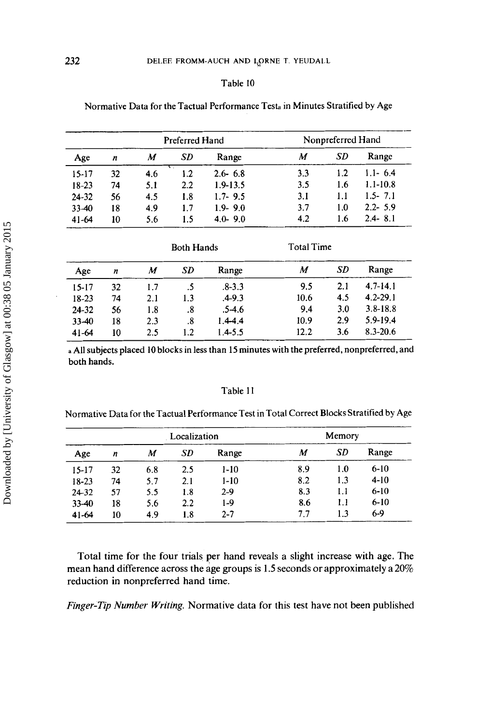| Normative Data for the Tactual Performance Test <sub>a</sub> in Minutes Stratified by Age |  |  |
|-------------------------------------------------------------------------------------------|--|--|
|-------------------------------------------------------------------------------------------|--|--|

|           |    | Preferred Hand |           | Nonpreferred Hand |     |     |              |
|-----------|----|----------------|-----------|-------------------|-----|-----|--------------|
| Age       | n  | M              | <b>SD</b> | Range             | M   | SD  | Range        |
| $15 - 17$ | 32 | 4.6            | $1.2\,$   | $2.6 - 6.8$       | 3.3 | 1.2 | $1.1 - 6.4$  |
| $18 - 23$ | 74 | 5.1            | 2.2       | $1.9 - 13.5$      | 3.5 | 1.6 | $1.1 - 10.8$ |
| $24 - 32$ | 56 | 4.5            | 1.8       | $1.7 - 9.5$       | 3.1 | 1.1 | $1.5 - 7.1$  |
| $33 - 40$ | 18 | 4.9            | 1.7       | $1.9 - 9.0$       | 3.7 | 1.0 | $2.2 - 5.9$  |
| $41-64$   | 10 | 5.6            | 1.5       | $4.0 - 9.0$       | 4.2 | 1.6 | $2.4 - 8.1$  |

|           |                  | <b>Both Hands</b> |     |             |      | <b>Total Time</b> |              |  |
|-----------|------------------|-------------------|-----|-------------|------|-------------------|--------------|--|
| Age       | $\boldsymbol{n}$ | M                 | SD  | Range       | M    | SD                | Range        |  |
| $15 - 17$ | 32               | 1.7               | .5  | $.8 - 3.3$  | 9.5  | 2.1               | $4.7 - 14.1$ |  |
| $18 - 23$ | 74               | 2.1               | 1.3 | $.4 - 9.3$  | 10.6 | 4.5               | $4.2 - 29.1$ |  |
| $24 - 32$ | 56               | 1.8               | .8  | $.5-4.6$    | 9.4  | 3.0               | $3.8 - 18.8$ |  |
| 33-40     | 18               | 2.3               | .8  | $1.4 - 4.4$ | 10.9 | 2.9               | $5.9 - 19.4$ |  |
| $41-64$   | 10               | 2.5               | 1.2 | $1.4 - 5.5$ | 12.2 | 3.6               | $8.3 - 20.6$ |  |

**<sup>a</sup>**All subjects placed 10 blocks in less than 15 minutes with the preferred, nonpreferred, and both hands.

# Table 11

| Normative Data for the Tactual Performance Test in Total Correct Blocks Stratified by Age |  |  |  |
|-------------------------------------------------------------------------------------------|--|--|--|
|-------------------------------------------------------------------------------------------|--|--|--|

|           |    |     | Localization |         | Memory |           |          |  |
|-----------|----|-----|--------------|---------|--------|-----------|----------|--|
| Age       | n  | M   | SD           | Range   | M      | <b>SD</b> | Range    |  |
| $15 - 17$ | 32 | 6.8 | 2.5          | $1-10$  | 8.9    | 1.0       | $6-10$   |  |
| 18-23     | 74 | 5.7 | 2.1          | $1-10$  | 8.2    | 1.3       | $4 - 10$ |  |
| $24 - 32$ | 57 | 5.5 | 1.8          | $2-9$   | 8.3    | 1.1       | $6 - 10$ |  |
| 33-40     | 18 | 5.6 | $2.2\,$      | 1-9     | 8.6    | 1.1       | $6 - 10$ |  |
| $41-64$   | 10 | 4.9 | 1.8          | $2 - 7$ | 7.7    | 1.3       | $6-9$    |  |

Total time for the four trials per hand reveals a slight increase with age. The mean hand difference across the age groups is **1.5** seconds or approximately a **20%**  reduction in nonpreferred hand time.

*Finger-Tip Number Writing.* Normative data for this test have not been published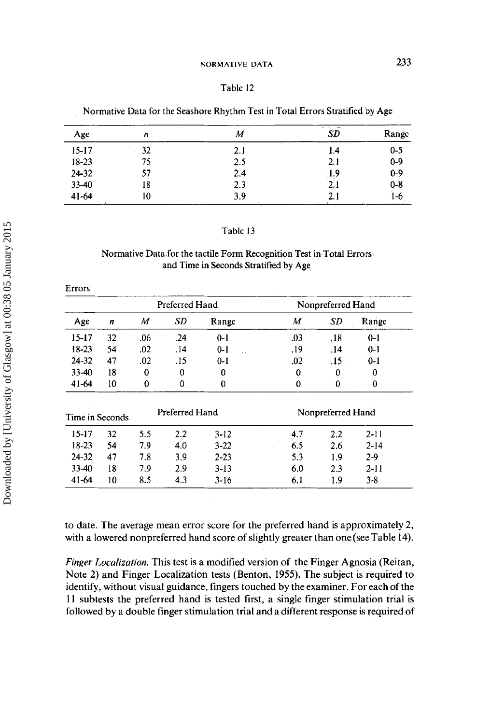# Table 12

| Normative Data for the Seashore Rhythm Test in Total Errors Stratified by Age |  |  |
|-------------------------------------------------------------------------------|--|--|
|                                                                               |  |  |

| Age       | ALC: NO<br>n | 14.1<br>Μ | state of the control<br><b>SD</b> | Range               |
|-----------|--------------|-----------|-----------------------------------|---------------------|
| $15 - 17$ | 32           | 2.1       | A. Gar<br>1.4                     | $0 - 5$             |
| $18 - 23$ | 75.          | 2.5       | 2.1                               | $0 - 9$             |
| $24 - 32$ | 57           | 2.4       | 1.9                               | $0-9$               |
| $33 - 40$ | 18           | 2.3       | 2.1                               | $0 - 8$             |
| $41 - 64$ | 10           | 3.9       | 2.1                               | 1-6<br>and the con- |

### Table 13

# Normative Data for the tactile Form Recognition Test in Total Errors and Time in Seconds Stratified by Age

|           |                 |     | Preferred Hand |                          |             | Nonpreferred Hand |          |
|-----------|-----------------|-----|----------------|--------------------------|-------------|-------------------|----------|
| Age       | n               | M   | SD             | Range                    | M           | <b>SD</b>         | Range    |
| $15-17$   | 32              | .06 | .24            | $0 - 1$                  | .03         | .18               | $0 - 1$  |
| $18-23$   | 54              | .02 | .14            | $0 - 1$<br>$\sim$ $\sim$ | .19         | .14               | $0 - 1$  |
| 24-32     | 47              | .02 | .15            | $0 - 1$                  | .02         | .15               | $0 - 1$  |
| 33-40     | 18              | 0   | 0              | $\bf{0}$                 | $\theta$    | 0                 | 0        |
| $41 - 64$ | 10              | 0   | 0              | 0                        | $\mathbf 0$ | $\bf{0}$          | 0        |
|           | Time in Seconds |     | Preferred Hand |                          |             | Nonpreferred Hand |          |
| $15 - 17$ | 32              | 5.5 | $2.2\,$        | $3-12$                   | 4.7         | $2.2\,$           | $2 - 11$ |
| 18-23     | 54              | 7.9 | 4.0            | $3 - 22$                 | 6.5         | 2.6               | $2 - 14$ |
| 24-32     | 47              | 7.8 | 3.9            | $2 - 23$                 | 5.3         | 1.9               | 29       |
| 33-40     | 18              | 7.9 | 2.9            | $3-13$                   | 6.0         | 2.3               | $2 - 11$ |
| $41 - 64$ | 10              | 8.5 | 4.3            | 3-16                     | 6.1         | 1.9               | $3 - 8$  |

to date. The average mean error score for the preferred hand is approximately 2, with a lowered nonpreferred hand score of slightly greater than one(see Table 14).

*Finger Localization.* This test is a modified version of the Finger Agnosia (Reitan, Note 2) and Finger Localization tests (Benton, 1955). The subject is required to identify, without visual guidance, fingers touched by the examiner. For each of the 11 subtests the preferred hand is tested first, a single finger stimulation trial is followed by **a** double finger stimulation trial and a different response is required of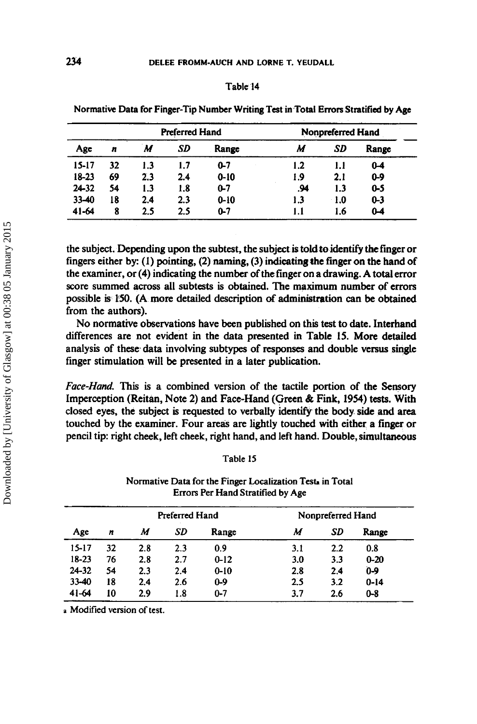|                                     |    |     |     | Normative Data for Finger-Tip Number Writing Test in Total Errors Stratified by Age |     |             |            |  |  |  |
|-------------------------------------|----|-----|-----|-------------------------------------------------------------------------------------|-----|-------------|------------|--|--|--|
| Preferred Hand<br>Nonpreferred Hand |    |     |     |                                                                                     |     |             |            |  |  |  |
| Age                                 | n  | M   | SD  | Range                                                                               | M   | SD          | Range      |  |  |  |
| 15-17                               | 32 | 1.3 | 1.7 | $0 - 7$                                                                             | 1.2 | 1.1         | $0 - 4$    |  |  |  |
| 18-23                               | 69 | 2.3 | 2.4 | $0 - 10$                                                                            | 1.9 | 2.1         | 0-9        |  |  |  |
| 24-32                               | 54 | 1.3 | 1.8 | $0-7$                                                                               | .94 | 1.3         | <b>0-5</b> |  |  |  |
| $33 - 40$                           | 18 | 2.4 | 2.3 | $0 - 10$                                                                            | 1.3 | $\cdot$ 1.0 | $0 - 3$    |  |  |  |
| 41-64                               | 8  | 2.5 | 2.5 | $0 - 7$                                                                             | 1.1 | 1.6         | $0 - 4$    |  |  |  |

the subject. Depending upon the subtest, the subject is told *to* identify *the* finger or fingers either by: **(1)** pointing, **(2)** naming, (3) indicating #he finger on the hand **of**  the examiner, or **(4)** indicating the number of the finger on a drawing. **A** total error score summed across all subtests is obtained. The maximum number of errors possible **is 150. (A** more detailed description *of* administration can be obtained from the authors).

**No** normative observations have been published on this test to date. Interhand differences are not evident in the data presented in Table **15. More** detailed analysis of these data involving subtypes of **responses** and double **versus** single finger stimulation will be presented in a later publication.

*Fuce-Hund.* **This** is a combined version of the tactile portion of the **Sensory**  Imperception (Reitan, Note **2)** and Face-Hand (Green & Fink, **1954)** tests. With closed eyes, the subject is **requested** to verbally identify the body side **and area**  touched by the examiner. Four areas are lightly touched with either a finger or pencil tip: right cheek, left cheek, right hand, and left hand. Double, simultaneous

| able |  |
|------|--|
|------|--|

# Normative Data for the Finger Localization Test. in Total **Errors Per Hand Stratified by Age**

|       |    | <b>Preferred Hand</b> |     |          | Nonpreferred Hand |         |          |
|-------|----|-----------------------|-----|----------|-------------------|---------|----------|
| Age   | n  | М                     | SD  | Range    | М                 | SD      | Range    |
| 15-17 | 32 | 2.8                   | 2.3 | 0.9      | 3.1               | $2.2\,$ | 0.8      |
| 18-23 | 76 | 2.8                   | 2.7 | $0 - 12$ | 3.0               | 3.3     | $0 - 20$ |
| 24-32 | 54 | 2.3                   | 2.4 | $0 - 10$ | 2.8               | 2.4     | $0 - 9$  |
| 33-40 | 18 | 2.4                   | 2.6 | $0 - 9$  | 2.5               | 3.2     | $0 - 14$ |
| 41-64 | 10 | 2.9                   | 1.8 | $0 - 7$  | 3.7               | 2.6     | $0 - 8$  |

**a Modified version of test,**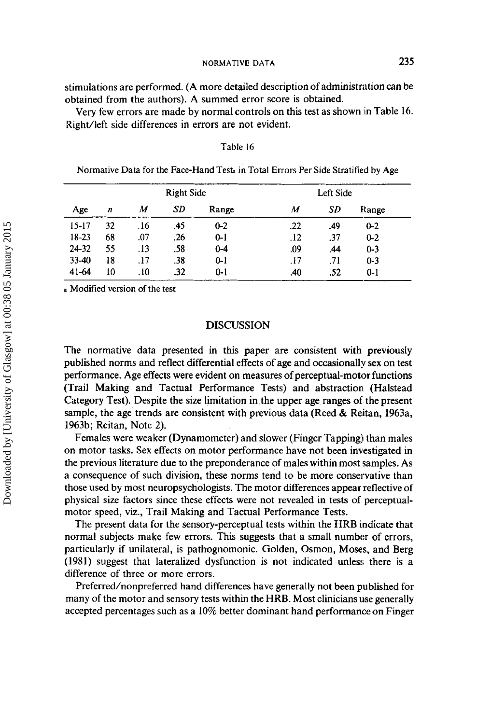stimulations are performed. (A more detailed description of administration can be obtained from the authors). A summed error score is obtained.

Very few errors are made by normal controls on this test as shown in Table 16. Right/left side differences in errors are not evident.

|           |                  |     | <b>Right Side</b> |         | Left Side |     |         |  |
|-----------|------------------|-----|-------------------|---------|-----------|-----|---------|--|
| Age       | $\boldsymbol{n}$ | M   | SD                | Range   | M         | SD  | Range   |  |
| $15 - 17$ | 32               | .16 | .45               | $0 - 2$ | .22       | .49 | $0 - 2$ |  |
| 18-23     | 68               | .07 | .26               | $0 - 1$ | .12       | .37 | $0 - 2$ |  |
| $24 - 32$ | 55               | .13 | .58               | $0 - 4$ | .09       | .44 | $0 - 3$ |  |
| 33-40     | 18               | .17 | .38               | $0 - 1$ | .17       | -71 | $0 - 3$ |  |
| $41 - 64$ | 10               | .10 | .32               | $0 - 1$ | .40       | .52 | $0 - 1$ |  |

# **Table 16**

**Normative Data for the Face-Hand Tess in** Total **Errors Per Side Stratified by Age** 

**a Modified version of the test** 

# **DISCUSSION**

The normative data presented in this paper are consistent with previously published norms and reflect differential effects of age and occasionally sex on test performance. Age effects were evident on measures of perceptual-motor functions (Trail Making and Tactual Performance Tests) and abstraction (Halstead Category Test). Despite the size limitation in the upper age ranges of the present sample, the age trends are consistent with previous data (Reed & Reitan, 1963a, 1963b; Reitan, Note 2).

Females were weaker (Dynamometer) and slower (Finger Tapping) than males on motor tasks. Sex effects on motor performance have not been investigated in the previous literature due to the preponderance of males within most samples. **As a** consequence of such division, these norms tend to be more conservative than those used by most neuropsychologists. The motor differences appear reflective of physical size factors since these effects were not revealed in tests of perceptualmotor speed, viz., Trail Making and Tactual Performance Tests.

The present data for the sensory-perceptual tests within the HRB indicate that normal subjects make few errors. This suggests that a small number of errors, particularly if unilateral, is pathognomonic. Golden, Osmon, Moses, and Berg (1981) suggest that lateralized dysfunction is not indicated unless there **is** a difference of three **or** more errors.

Preferred/nonpreferred hand differences have generally not been published for many of the motor and sensory tests within the **HRB.** Most clinicians use generally accepted percentages such as a 10% better dominant hand performance on Finger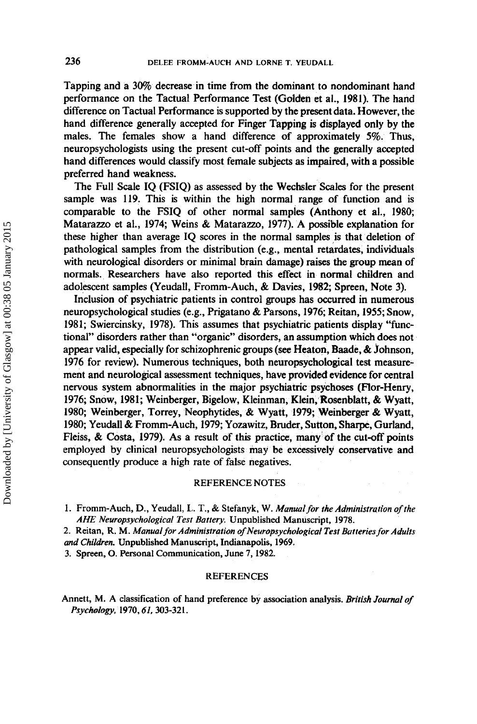Tapping and a *3wo* decrease in time from the dominant to nondominant hand performance on the Tactual Performance Test (Golden et al., **1981).** The hand difference on Tactual Performance **is** supported by the present data. However, the hand difference generally accepted for Finger Tapping is displayed only by the males. The females show a hand difference of approximately *5%.* Thus, neuropsychologists using the present cut-off points and the generally accepted hand differences would classify most female subjects as impaired, with a possible preferred hand weakness.

The Full Scale IQ (FSIQ) as assessed by the Wechsler Scales for the present sample was 119. This is within the high normal range of function and is comparable to the FSIQ of other normal samples (Anthony et al., 1980; Matarazzo et al., 1974; Weins & Matarazzo, 1977). A possible explanation for these higher than average IQ scores in the normal samples is that deletion of pathological samples from the distribution (e.g., mental retardates, individuals with neurological disorders or minimal brain damage) raises the group **mean** of normals. Researchers have also reported this effect in normal children and adolescent samples (Yeudall, Fromm-Auch, & Davies, **1982;** Spreen, Note 3).

Inclusion of psychiatric patients in control groups **has** occurred in numerous neuropsychological studies (e.g., Prigatano & Parsons, 1976; Reitan, 1955; Snow, 1981; Swiercinsky, 1978). This assumes that psychiatric patients display "functional" disorders rather than "organic" disorders, an assumption which **does** not appear valid, especially for schizophrenic groups (see Heaton, Baade, & Johnson, 1976 for review). Numerous techniques, both neuropsychological test measurement and neurological assessment techniques, have provided evidence for central nervous system abnormalities in the major psychiatric psychoses (Ror-Henry, 1976; Snow, 1981; Weinberger, Bigelow, Kleinman, Klein, Rosenblatt, & Wyatt, 1980; Weinberger, Torrey, Neophytides, & Wyatt, **1979;** Weinberger & Wyatt, 1980; Yeudall & Fromm-Auch, 1979; Yozawitz, Bruder, Sutton, Sharpe, Gurland, Fleiss, & Costa, 1979). As a result of this practice, many of the cut-off points employed by clinical neuropsychologists may be excessively conservative and consequently produce a high rate of false negatives.

# **REFERENCE NOTES**

**1. Fromrn-Auch, D., Yeudall, I,. T.,** & **Stefanyk, W.** *Manual for the Administration of the AHE Neuropsychoiogicai Test Battery.* **Unpublished Manuscript, 1978.** 

**2. Reitan, R. M.** *Manual for Administration oflveuropsychoiogicai Test Batteries for Adults and Children.* **Unpublished Manuscript, Indianapolis. 1969.** 

**3. Spreen, 0. Personal Communication, June 7,1982.** 

### **REFERENCES**

**Annett, M. A classification of hand preference by association analysis.** *British Journal of PSyChdom,* **1970,61,303-321.**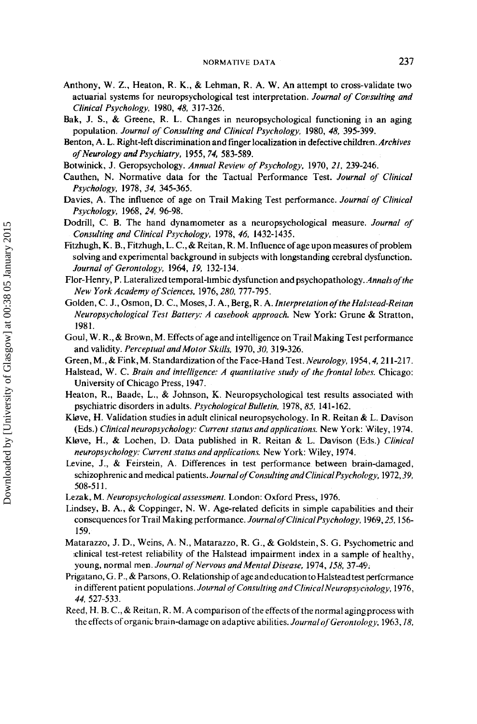- Anthony, W. Z., Heaton, R. K., & Lehman, R. **A.** W. An attempt to cross-validate two actuarial systems for neuropsychological test interpretation. *Journal of Consulting and Clinical Psychology,* **1980,** *48,* **3 17-326.**
- Bak, J. S., & Greene, R. L. Changes in neuropsychological functioning in an aging population. *Journal of Consulting and Clinical Psychology,* **1980,** *48,* **395-399.**
- Benton, A. **L.** Right-left discrimination and finger localization in defective children. *Archives of Neurology and Psychiatry,* **1955,74, 583-589.**
- Botwinick, J. Geropsychology. *Annual Review of Psychology,* **1970,** *21.* **239-2846.**
- Cauthen, N. Normative data for the Tactual Performance Test. *Journal of Clinical PSyChOlOgy,* **1978,** *34,* **345-365.**
- Davies, A. The influence of age on Trail Making Test performance. *Journal'* of *Clinical Psychology,* **1968,** *24,* **96-98.**
- Dodrill, **C. B.** The hand dynamometer as a neuropsychological measure. *Journal of Consulting and Clinical Psychology,* **1978,** *46,* **1432-1435.**
- Fitzhugh, K. B., Fitzhugh, L. C., & Reitan, R. M. Influence of age upon measures of problem solving and experimental background in subjects with longstanding cerebral dysfunction. *Journal of Gerontology,* **1964,** *19,* **132-134.**
- Flor-Henry, P. Lateralized temporal-limbic dysfunction and psychopathology. *.4nnals of the New York Academy of Sciences.* **1976,280,777-795.**
- Golden, C. J., Osmon, D. C., Moses, J. A., Berg, R. A. *Interpretation of theHalstead-Reitan Neuropsychological Test Battery: A casebook approach.* New York: Grune & Stratton, **1981.**
- God, W. R., & Brown, M. Effects of age and intelligence on Trail Making Test performance and validity. *PerceptualandMotor Skills,* **1970,30, 3 19-326.**
- Green, M., & Fink, M. Standardization ofthe Face-Hand Test. *Neurology,* **1954,4,211-217.**
- Halstead, W. C. *Brain and intelligence: A quantitative study of the frontal lobes.* Chicago: University of Chicago Press, **1947.**
- Heaton, R., Baade, L., & Johnson, K. Neuropsychological test results associated with psychiatric disorders in adults. *Psychological Bulletin.* **1978,85, 141-162.**
- Kløve, H. Validation studies in adult clinical neuropsychology. In R. Reitan & L. Davison (Eds.) *Clinical neuropsychology: Current status and applications* New York: Wiley, **1974.**
- Kieve, H., & Lochen, D. Data published in R. Reitan & L. Davison **(Ells.)** *Clinical neuropsychology: Current status and applications* New York: Wiley, **1974.**
- Levine, J., & Feirstein, A. Differences in test performance between brain-damaged, schizophrenic and medical patients. *Journalof Consulting and ClinicalPsychology,* **1972,39, 508-5 1 1.**
- Lezak, **M.** *Neuropsycho[ogicalassessment.* London: Oxford Press, **1976,**
- Lindsey, B. A., & Coppinger, N. W. Age-related deficits in simple capabilities and their consequences for Trail Making performance. *Journalof ClinicalPsychology,* **1969,25,156- 159.**
- Matarazzo, J. D., Weins, **A.** N., Matarazzo, R. G., & Goldstein, S. G. Psychometric and clinical test-retest reliability of the Halstead impairment index in a sample of healthy, young, normal men. *Journal of Nervous and Mental Disease*, 1974, 158, 37-49.
- Prigatano, G. P., & Parsons, O. Relationship of age and education to Halstead test performance in different patient populations. Journal of Consulting and Clinical Neuropsychology, 1976, *44,* **527-533.**
- Reed, **H. B.** C., & Reitan, R. M. A comparison of the effects of the normal agingprocess with the effects of organic brain-damage on adaptive abilities. *JournalofGerontoIogy,* **1963,18,**